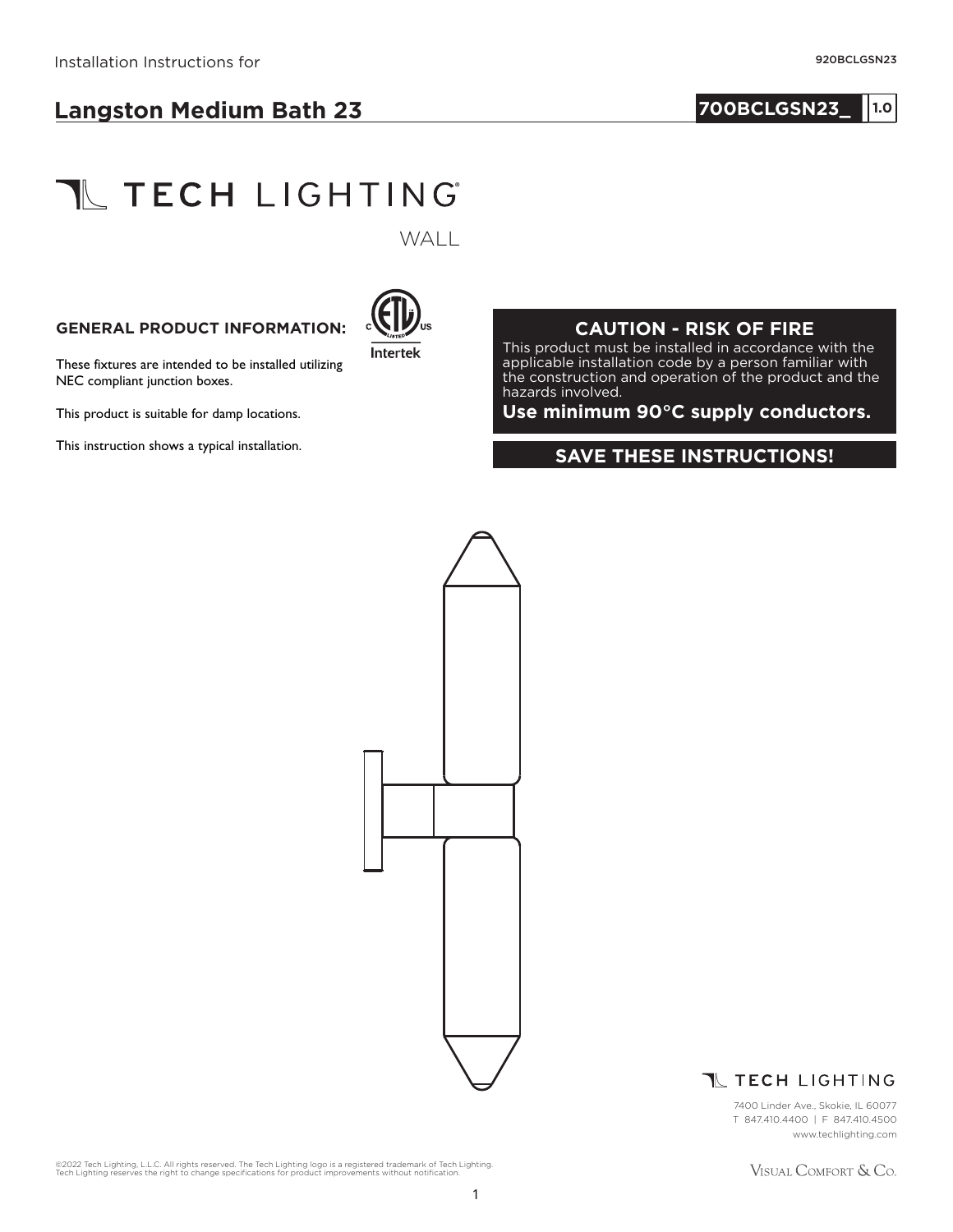## **700BCLGSN23\_ 1.01**

# **TL TECH LIGHTING**

WALL

#### **GENERAL PRODUCT INFORMATION:**



These fixtures are intended to be installed utilizing NEC compliant junction boxes.

This product is suitable for damp locations.

#### **CAUTION - RISK OF FIRE**

This product must be installed in accordance with the applicable installation code by a person familiar with the construction and operation of the product and the hazards involved.

**Use minimum 90°C supply conductors.**

## This instruction shows a typical installation.<br>**SAVE THESE INSTRUCTIONS!**



### **T TECH LIGHTING**

7400 Linder Ave., Skokie, IL 60077 T 847.410.4400 | F 847.410.4500 www.techlighting.com

©2022 Tech Lighting, L.L.C. All rights reserved. The Tech Lighting logo is a registered trademark of Tech Lighting.<br>Tech Lighting reserves the right to change specifications for product improvements without notification.